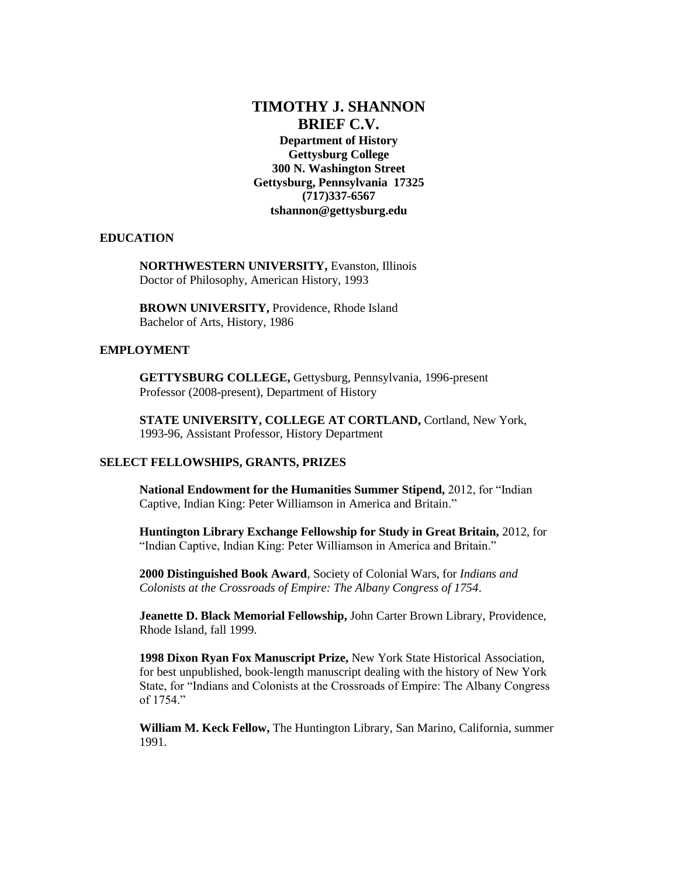# **TIMOTHY J. SHANNON BRIEF C.V.**

**Department of History Gettysburg College 300 N. Washington Street Gettysburg, Pennsylvania 17325 (717)337-6567 tshannon@gettysburg.edu**

## **EDUCATION**

**NORTHWESTERN UNIVERSITY,** Evanston, Illinois Doctor of Philosophy, American History, 1993

**BROWN UNIVERSITY,** Providence, Rhode Island Bachelor of Arts, History, 1986

## **EMPLOYMENT**

**GETTYSBURG COLLEGE,** Gettysburg, Pennsylvania, 1996-present Professor (2008-present), Department of History

**STATE UNIVERSITY, COLLEGE AT CORTLAND,** Cortland, New York, 1993-96, Assistant Professor, History Department

# **SELECT FELLOWSHIPS, GRANTS, PRIZES**

**National Endowment for the Humanities Summer Stipend,** 2012, for "Indian Captive, Indian King: Peter Williamson in America and Britain."

**Huntington Library Exchange Fellowship for Study in Great Britain,** 2012, for "Indian Captive, Indian King: Peter Williamson in America and Britain."

**2000 Distinguished Book Award**, Society of Colonial Wars, for *Indians and Colonists at the Crossroads of Empire: The Albany Congress of 1754*.

**Jeanette D. Black Memorial Fellowship,** John Carter Brown Library, Providence, Rhode Island, fall 1999.

**1998 Dixon Ryan Fox Manuscript Prize,** New York State Historical Association, for best unpublished, book-length manuscript dealing with the history of New York State, for "Indians and Colonists at the Crossroads of Empire: The Albany Congress of 1754."

**William M. Keck Fellow,** The Huntington Library, San Marino, California, summer 1991.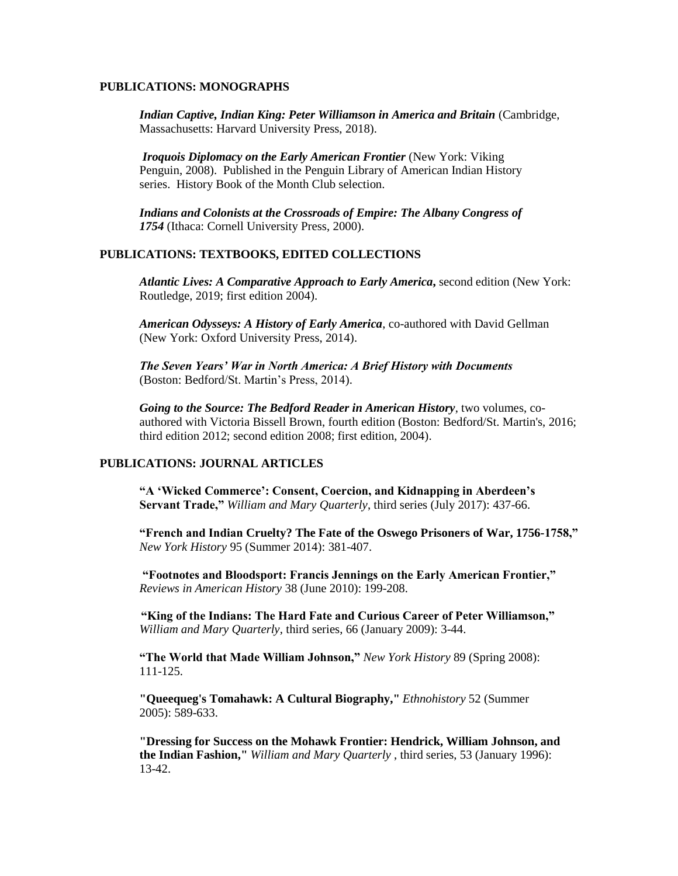#### **PUBLICATIONS: MONOGRAPHS**

*Indian Captive, Indian King: Peter Williamson in America and Britain* (Cambridge, Massachusetts: Harvard University Press, 2018).

*Iroquois Diplomacy on the Early American Frontier* (New York: Viking Penguin, 2008). Published in the Penguin Library of American Indian History series. History Book of the Month Club selection.

*Indians and Colonists at the Crossroads of Empire: The Albany Congress of 1754* (Ithaca: Cornell University Press, 2000).

#### **PUBLICATIONS: TEXTBOOKS, EDITED COLLECTIONS**

*Atlantic Lives: A Comparative Approach to Early America***,** second edition (New York: Routledge, 2019; first edition 2004).

*American Odysseys: A History of Early America*, co-authored with David Gellman (New York: Oxford University Press, 2014).

*The Seven Years' War in North America: A Brief History with Documents*  (Boston: Bedford/St. Martin's Press, 2014).

*Going to the Source: The Bedford Reader in American History*, two volumes, coauthored with Victoria Bissell Brown, fourth edition (Boston: Bedford/St. Martin's, 2016; third edition 2012; second edition 2008; first edition, 2004).

# **PUBLICATIONS: JOURNAL ARTICLES**

**"A 'Wicked Commerce': Consent, Coercion, and Kidnapping in Aberdeen's Servant Trade,"** *William and Mary Quarterly*, third series (July 2017): 437-66.

**"French and Indian Cruelty? The Fate of the Oswego Prisoners of War, 1756-1758,"**  *New York History* 95 (Summer 2014): 381-407.

**"Footnotes and Bloodsport: Francis Jennings on the Early American Frontier,"**  *Reviews in American History* 38 (June 2010): 199-208.

**"King of the Indians: The Hard Fate and Curious Career of Peter Williamson,"**  *William and Mary Quarterly*, third series, 66 (January 2009): 3-44.

**"The World that Made William Johnson,"** *New York History* 89 (Spring 2008): 111-125.

**"Queequeg's Tomahawk: A Cultural Biography,"** *Ethnohistory* 52 (Summer 2005): 589-633.

**"Dressing for Success on the Mohawk Frontier: Hendrick, William Johnson, and the Indian Fashion,"** *William and Mary Quarterly* , third series, 53 (January 1996): 13-42.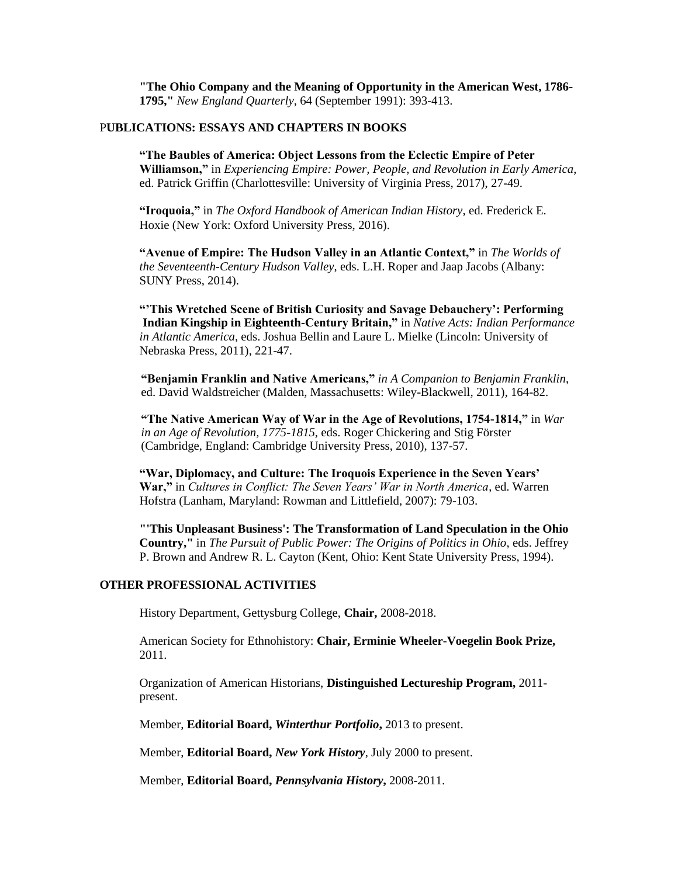**"The Ohio Company and the Meaning of Opportunity in the American West, 1786- 1795,"** *New England Quarterly*, 64 (September 1991): 393-413.

## P**UBLICATIONS: ESSAYS AND CHAPTERS IN BOOKS**

**"The Baubles of America: Object Lessons from the Eclectic Empire of Peter Williamson,"** in *Experiencing Empire: Power, People, and Revolution in Early America*, ed. Patrick Griffin (Charlottesville: University of Virginia Press, 2017), 27-49.

**"Iroquoia,"** in *The Oxford Handbook of American Indian History*, ed. Frederick E. Hoxie (New York: Oxford University Press, 2016).

**"Avenue of Empire: The Hudson Valley in an Atlantic Context,"** in *The Worlds of the Seventeenth-Century Hudson Valley*, eds. L.H. Roper and Jaap Jacobs (Albany: SUNY Press, 2014).

**"'This Wretched Scene of British Curiosity and Savage Debauchery': Performing Indian Kingship in Eighteenth-Century Britain,"** in *Native Acts: Indian Performance in Atlantic America*, eds. Joshua Bellin and Laure L. Mielke (Lincoln: University of Nebraska Press, 2011), 221-47.

**"Benjamin Franklin and Native Americans,"** *in A Companion to Benjamin Franklin*, ed. David Waldstreicher (Malden, Massachusetts: Wiley-Blackwell, 2011), 164-82.

**"The Native American Way of War in the Age of Revolutions, 1754-1814,"** in *War in an Age of Revolution, 1775-1815*, eds. Roger Chickering and Stig Förster (Cambridge, England: Cambridge University Press, 2010), 137-57.

**"War, Diplomacy, and Culture: The Iroquois Experience in the Seven Years' War,"** in *Cultures in Conflict: The Seven Years' War in North America*, ed. Warren Hofstra (Lanham, Maryland: Rowman and Littlefield, 2007): 79-103.

**"'This Unpleasant Business': The Transformation of Land Speculation in the Ohio Country,"** in *The Pursuit of Public Power: The Origins of Politics in Ohio*, eds. Jeffrey P. Brown and Andrew R. L. Cayton (Kent, Ohio: Kent State University Press, 1994).

# **OTHER PROFESSIONAL ACTIVITIES**

History Department, Gettysburg College, **Chair,** 2008-2018.

American Society for Ethnohistory: **Chair, Erminie Wheeler-Voegelin Book Prize,** 2011.

Organization of American Historians, **Distinguished Lectureship Program,** 2011 present.

Member, **Editorial Board,** *Winterthur Portfolio***,** 2013 to present.

Member, **Editorial Board,** *New York History*, July 2000 to present.

Member, **Editorial Board,** *Pennsylvania History***,** 2008-2011.